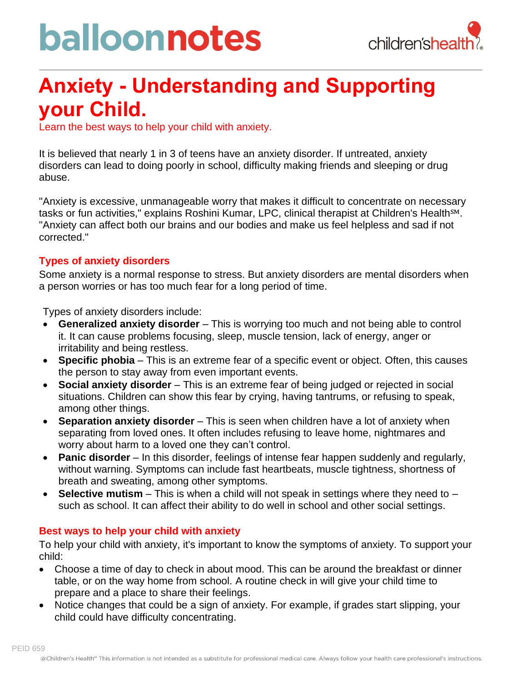# balloonnotes



### **Anxiety - Understanding and Supporting your Child.**

Learn the best ways to help your child with anxiety.

It is believed that nearly 1 in 3 of teens have an anxiety disorder. If untreated, anxiety disorders can lead to doing poorly in school, difficulty making friends and sleeping or drug abuse.

"Anxiety is excessive, unmanageable worry that makes it difficult to concentrate on necessary tasks or fun activities," explains Roshini Kumar, LPC, clinical therapist at Children's Health<sup>sM</sup>. "Anxiety can affect both our brains and our bodies and make us feel helpless and sad if not corrected."

### **Types of anxiety disorders**

Some anxiety is a normal response to stress. But anxiety disorders are mental disorders when a person worries or has too much fear for a long period of time.

Types of anxiety disorders include:

- **Generalized anxiety disorder** This is worrying too much and not being able to control it. It can cause problems focusing, sleep, muscle tension, lack of energy, anger or irritability and being restless.
- **Specific phobia** This is an extreme fear of a specific event or object. Often, this causes the person to stay away from even important events.
- **Social anxiety disorder** This is an extreme fear of being judged or rejected in social situations. Children can show this fear by crying, having tantrums, or refusing to speak, among other things.
- **Separation anxiety disorder** This is seen when children have a lot of anxiety when separating from loved ones. It often includes refusing to leave home, nightmares and worry about harm to a loved one they can't control.
- **Panic disorder** In this disorder, feelings of intense fear happen suddenly and regularly, without warning. Symptoms can include fast heartbeats, muscle tightness, shortness of breath and sweating, among other symptoms.
- **Selective mutism** This is when a child will not speak in settings where they need to such as school. It can affect their ability to do well in school and other social settings.

### **Best ways to help your child with anxiety**

PEID 659

To help your child with anxiety, it's important to know the symptoms of anxiety. To support your child:

- Choose a time of day to check in about mood. This can be around the breakfast or dinner table, or on the way home from school. A routine check in will give your child time to prepare and a place to share their feelings.
- Notice changes that could be a sign of anxiety. For example, if grades start slipping, your child could have difficulty concentrating.